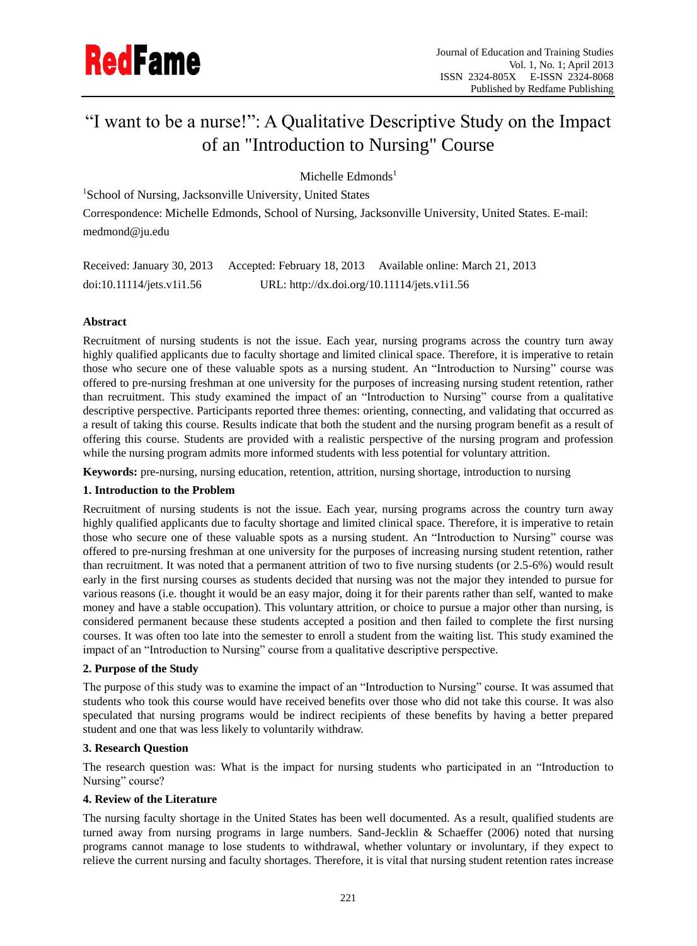# "I want to be a nurse!": A Qualitative Descriptive Study on the Impact of an "Introduction to Nursing" Course

Michelle  $Edmonds<sup>1</sup>$ 

<sup>1</sup>School of Nursing, Jacksonville University, United States

Correspondence: Michelle Edmonds, School of Nursing, Jacksonville University, United States. E-mail: medmond@ju.edu

| Received: January 30, 2013 |                                              | Accepted: February 18, 2013 Available online: March 21, 2013 |
|----------------------------|----------------------------------------------|--------------------------------------------------------------|
| doi:10.11114/jets.v1i1.56  | URL: http://dx.doi.org/10.11114/jets.v1i1.56 |                                                              |

# **Abstract**

Recruitment of nursing students is not the issue. Each year, nursing programs across the country turn away highly qualified applicants due to faculty shortage and limited clinical space. Therefore, it is imperative to retain those who secure one of these valuable spots as a nursing student. An "Introduction to Nursing" course was offered to pre-nursing freshman at one university for the purposes of increasing nursing student retention, rather than recruitment. This study examined the impact of an "Introduction to Nursing" course from a qualitative descriptive perspective. Participants reported three themes: orienting, connecting, and validating that occurred as a result of taking this course. Results indicate that both the student and the nursing program benefit as a result of offering this course. Students are provided with a realistic perspective of the nursing program and profession while the nursing program admits more informed students with less potential for voluntary attrition.

**Keywords:** pre-nursing, nursing education, retention, attrition, nursing shortage, introduction to nursing

# **1. Introduction to the Problem**

Recruitment of nursing students is not the issue. Each year, nursing programs across the country turn away highly qualified applicants due to faculty shortage and limited clinical space. Therefore, it is imperative to retain those who secure one of these valuable spots as a nursing student. An "Introduction to Nursing" course was offered to pre-nursing freshman at one university for the purposes of increasing nursing student retention, rather than recruitment. It was noted that a permanent attrition of two to five nursing students (or 2.5-6%) would result early in the first nursing courses as students decided that nursing was not the major they intended to pursue for various reasons (i.e. thought it would be an easy major, doing it for their parents rather than self, wanted to make money and have a stable occupation). This voluntary attrition, or choice to pursue a major other than nursing, is considered permanent because these students accepted a position and then failed to complete the first nursing courses. It was often too late into the semester to enroll a student from the waiting list. This study examined the impact of an "Introduction to Nursing" course from a qualitative descriptive perspective.

# **2. Purpose of the Study**

The purpose of this study was to examine the impact of an "Introduction to Nursing" course. It was assumed that students who took this course would have received benefits over those who did not take this course. It was also speculated that nursing programs would be indirect recipients of these benefits by having a better prepared student and one that was less likely to voluntarily withdraw.

# **3. Research Question**

The research question was: What is the impact for nursing students who participated in an "Introduction to Nursing" course?

# **4. Review of the Literature**

The nursing faculty shortage in the United States has been well documented. As a result, qualified students are turned away from nursing programs in large numbers. Sand-Jecklin & Schaeffer (2006) noted that nursing programs cannot manage to lose students to withdrawal, whether voluntary or involuntary, if they expect to relieve the current nursing and faculty shortages. Therefore, it is vital that nursing student retention rates increase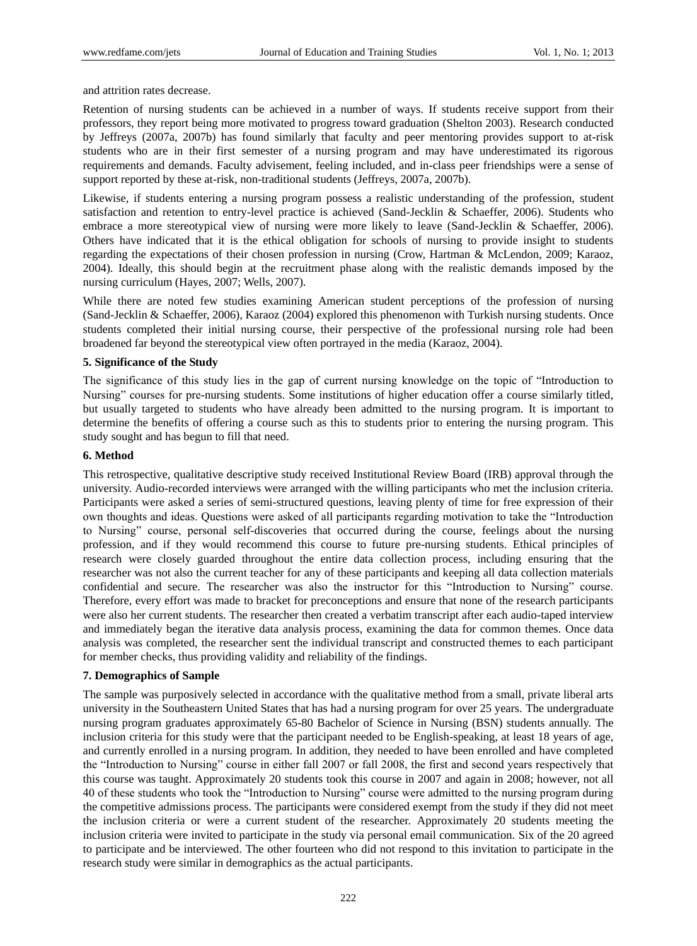and attrition rates decrease.

Retention of nursing students can be achieved in a number of ways. If students receive support from their professors, they report being more motivated to progress toward graduation (Shelton 2003). Research conducted by Jeffreys (2007a, 2007b) has found similarly that faculty and peer mentoring provides support to at-risk students who are in their first semester of a nursing program and may have underestimated its rigorous requirements and demands. Faculty advisement, feeling included, and in-class peer friendships were a sense of support reported by these at-risk, non-traditional students (Jeffreys, 2007a, 2007b).

Likewise, if students entering a nursing program possess a realistic understanding of the profession, student satisfaction and retention to entry-level practice is achieved (Sand-Jecklin & Schaeffer, 2006). Students who embrace a more stereotypical view of nursing were more likely to leave (Sand-Jecklin & Schaeffer, 2006). Others have indicated that it is the ethical obligation for schools of nursing to provide insight to students regarding the expectations of their chosen profession in nursing (Crow, Hartman & McLendon, 2009; Karaoz, 2004). Ideally, this should begin at the recruitment phase along with the realistic demands imposed by the nursing curriculum (Hayes, 2007; Wells, 2007).

While there are noted few studies examining American student perceptions of the profession of nursing (Sand-Jecklin & Schaeffer, 2006), Karaoz (2004) explored this phenomenon with Turkish nursing students. Once students completed their initial nursing course, their perspective of the professional nursing role had been broadened far beyond the stereotypical view often portrayed in the media (Karaoz, 2004).

#### **5. Significance of the Study**

The significance of this study lies in the gap of current nursing knowledge on the topic of "Introduction to Nursing" courses for pre-nursing students. Some institutions of higher education offer a course similarly titled, but usually targeted to students who have already been admitted to the nursing program. It is important to determine the benefits of offering a course such as this to students prior to entering the nursing program. This study sought and has begun to fill that need.

## **6. Method**

This retrospective, qualitative descriptive study received Institutional Review Board (IRB) approval through the university. Audio-recorded interviews were arranged with the willing participants who met the inclusion criteria. Participants were asked a series of semi-structured questions, leaving plenty of time for free expression of their own thoughts and ideas. Questions were asked of all participants regarding motivation to take the "Introduction to Nursing" course, personal self-discoveries that occurred during the course, feelings about the nursing profession, and if they would recommend this course to future pre-nursing students. Ethical principles of research were closely guarded throughout the entire data collection process, including ensuring that the researcher was not also the current teacher for any of these participants and keeping all data collection materials confidential and secure. The researcher was also the instructor for this "Introduction to Nursing" course. Therefore, every effort was made to bracket for preconceptions and ensure that none of the research participants were also her current students. The researcher then created a verbatim transcript after each audio-taped interview and immediately began the iterative data analysis process, examining the data for common themes. Once data analysis was completed, the researcher sent the individual transcript and constructed themes to each participant for member checks, thus providing validity and reliability of the findings.

#### **7. Demographics of Sample**

The sample was purposively selected in accordance with the qualitative method from a small, private liberal arts university in the Southeastern United States that has had a nursing program for over 25 years. The undergraduate nursing program graduates approximately 65-80 Bachelor of Science in Nursing (BSN) students annually. The inclusion criteria for this study were that the participant needed to be English-speaking, at least 18 years of age, and currently enrolled in a nursing program. In addition, they needed to have been enrolled and have completed the "Introduction to Nursing" course in either fall 2007 or fall 2008, the first and second years respectively that this course was taught. Approximately 20 students took this course in 2007 and again in 2008; however, not all 40 of these students who took the "Introduction to Nursing" course were admitted to the nursing program during the competitive admissions process. The participants were considered exempt from the study if they did not meet the inclusion criteria or were a current student of the researcher. Approximately 20 students meeting the inclusion criteria were invited to participate in the study via personal email communication. Six of the 20 agreed to participate and be interviewed. The other fourteen who did not respond to this invitation to participate in the research study were similar in demographics as the actual participants.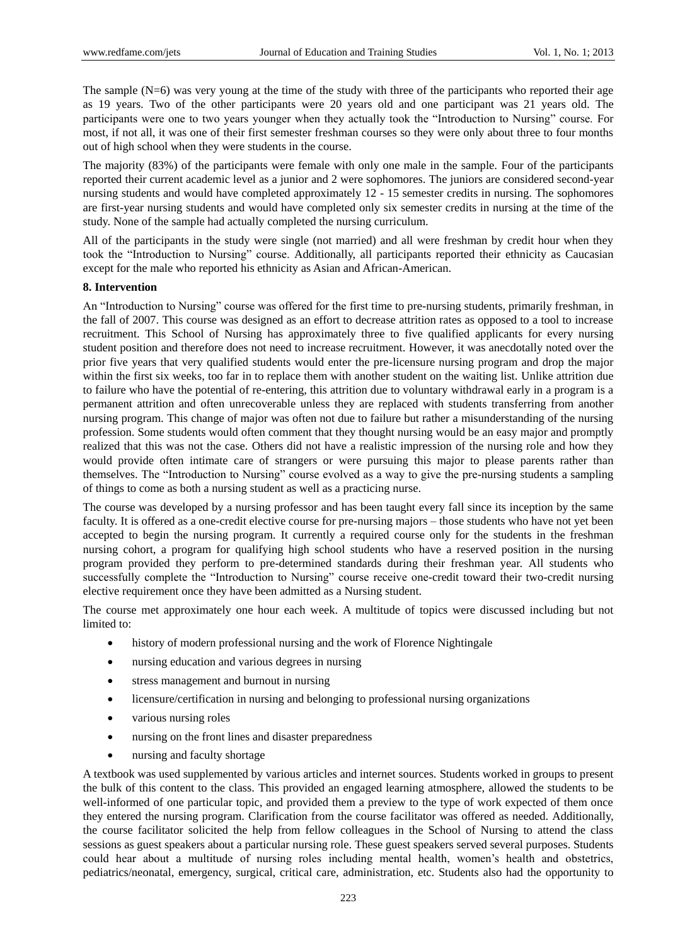The sample  $(N=6)$  was very young at the time of the study with three of the participants who reported their age as 19 years. Two of the other participants were 20 years old and one participant was 21 years old. The participants were one to two years younger when they actually took the "Introduction to Nursing" course. For most, if not all, it was one of their first semester freshman courses so they were only about three to four months out of high school when they were students in the course.

The majority (83%) of the participants were female with only one male in the sample. Four of the participants reported their current academic level as a junior and 2 were sophomores. The juniors are considered second-year nursing students and would have completed approximately 12 - 15 semester credits in nursing. The sophomores are first-year nursing students and would have completed only six semester credits in nursing at the time of the study. None of the sample had actually completed the nursing curriculum.

All of the participants in the study were single (not married) and all were freshman by credit hour when they took the "Introduction to Nursing" course. Additionally, all participants reported their ethnicity as Caucasian except for the male who reported his ethnicity as Asian and African-American.

## **8. Intervention**

An "Introduction to Nursing" course was offered for the first time to pre-nursing students, primarily freshman, in the fall of 2007. This course was designed as an effort to decrease attrition rates as opposed to a tool to increase recruitment. This School of Nursing has approximately three to five qualified applicants for every nursing student position and therefore does not need to increase recruitment. However, it was anecdotally noted over the prior five years that very qualified students would enter the pre-licensure nursing program and drop the major within the first six weeks, too far in to replace them with another student on the waiting list. Unlike attrition due to failure who have the potential of re-entering, this attrition due to voluntary withdrawal early in a program is a permanent attrition and often unrecoverable unless they are replaced with students transferring from another nursing program. This change of major was often not due to failure but rather a misunderstanding of the nursing profession. Some students would often comment that they thought nursing would be an easy major and promptly realized that this was not the case. Others did not have a realistic impression of the nursing role and how they would provide often intimate care of strangers or were pursuing this major to please parents rather than themselves. The "Introduction to Nursing" course evolved as a way to give the pre-nursing students a sampling of things to come as both a nursing student as well as a practicing nurse.

The course was developed by a nursing professor and has been taught every fall since its inception by the same faculty. It is offered as a one-credit elective course for pre-nursing majors – those students who have not yet been accepted to begin the nursing program. It currently a required course only for the students in the freshman nursing cohort, a program for qualifying high school students who have a reserved position in the nursing program provided they perform to pre-determined standards during their freshman year. All students who successfully complete the "Introduction to Nursing" course receive one-credit toward their two-credit nursing elective requirement once they have been admitted as a Nursing student.

The course met approximately one hour each week. A multitude of topics were discussed including but not limited to:

- history of modern professional nursing and the work of Florence Nightingale
- nursing education and various degrees in nursing
- stress management and burnout in nursing
- licensure/certification in nursing and belonging to professional nursing organizations
- various nursing roles
- nursing on the front lines and disaster preparedness
- nursing and faculty shortage

A textbook was used supplemented by various articles and internet sources. Students worked in groups to present the bulk of this content to the class. This provided an engaged learning atmosphere, allowed the students to be well-informed of one particular topic, and provided them a preview to the type of work expected of them once they entered the nursing program. Clarification from the course facilitator was offered as needed. Additionally, the course facilitator solicited the help from fellow colleagues in the School of Nursing to attend the class sessions as guest speakers about a particular nursing role. These guest speakers served several purposes. Students could hear about a multitude of nursing roles including mental health, women's health and obstetrics, pediatrics/neonatal, emergency, surgical, critical care, administration, etc. Students also had the opportunity to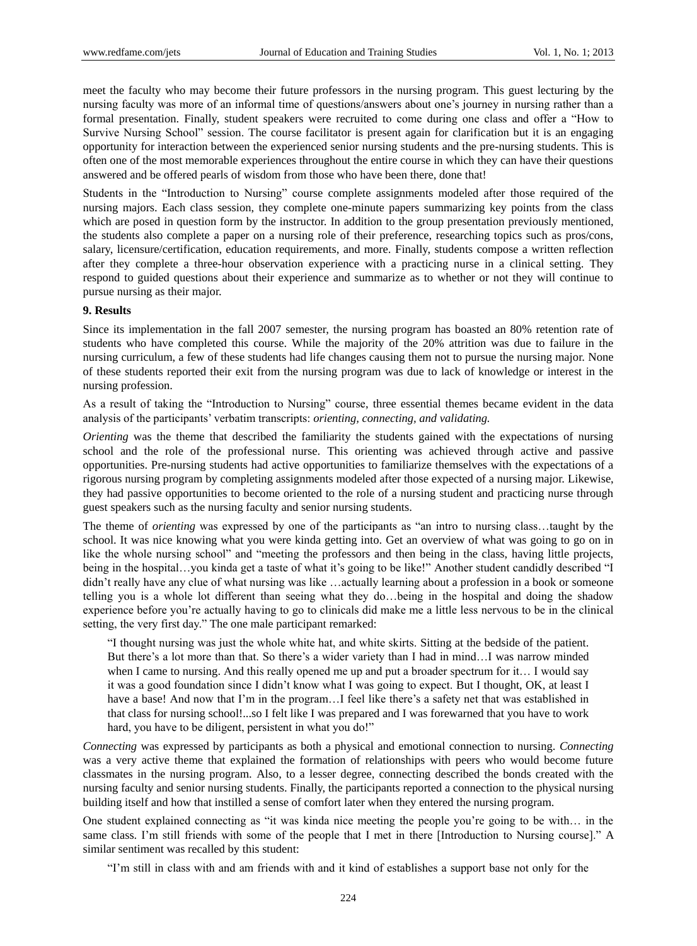meet the faculty who may become their future professors in the nursing program. This guest lecturing by the nursing faculty was more of an informal time of questions/answers about one's journey in nursing rather than a formal presentation. Finally, student speakers were recruited to come during one class and offer a "How to Survive Nursing School" session. The course facilitator is present again for clarification but it is an engaging opportunity for interaction between the experienced senior nursing students and the pre-nursing students. This is often one of the most memorable experiences throughout the entire course in which they can have their questions answered and be offered pearls of wisdom from those who have been there, done that!

Students in the "Introduction to Nursing" course complete assignments modeled after those required of the nursing majors. Each class session, they complete one-minute papers summarizing key points from the class which are posed in question form by the instructor. In addition to the group presentation previously mentioned, the students also complete a paper on a nursing role of their preference, researching topics such as pros/cons, salary, licensure/certification, education requirements, and more. Finally, students compose a written reflection after they complete a three-hour observation experience with a practicing nurse in a clinical setting. They respond to guided questions about their experience and summarize as to whether or not they will continue to pursue nursing as their major.

#### **9. Results**

Since its implementation in the fall 2007 semester, the nursing program has boasted an 80% retention rate of students who have completed this course. While the majority of the 20% attrition was due to failure in the nursing curriculum, a few of these students had life changes causing them not to pursue the nursing major. None of these students reported their exit from the nursing program was due to lack of knowledge or interest in the nursing profession.

As a result of taking the "Introduction to Nursing" course, three essential themes became evident in the data analysis of the participants' verbatim transcripts: *orienting, connecting, and validating.* 

*Orienting* was the theme that described the familiarity the students gained with the expectations of nursing school and the role of the professional nurse. This orienting was achieved through active and passive opportunities. Pre-nursing students had active opportunities to familiarize themselves with the expectations of a rigorous nursing program by completing assignments modeled after those expected of a nursing major. Likewise, they had passive opportunities to become oriented to the role of a nursing student and practicing nurse through guest speakers such as the nursing faculty and senior nursing students.

The theme of *orienting* was expressed by one of the participants as "an intro to nursing class…taught by the school. It was nice knowing what you were kinda getting into. Get an overview of what was going to go on in like the whole nursing school" and "meeting the professors and then being in the class, having little projects, being in the hospital…you kinda get a taste of what it's going to be like!" Another student candidly described "I didn't really have any clue of what nursing was like …actually learning about a profession in a book or someone telling you is a whole lot different than seeing what they do…being in the hospital and doing the shadow experience before you're actually having to go to clinicals did make me a little less nervous to be in the clinical setting, the very first day." The one male participant remarked:

"I thought nursing was just the whole white hat, and white skirts. Sitting at the bedside of the patient. But there's a lot more than that. So there's a wider variety than I had in mind…I was narrow minded when I came to nursing. And this really opened me up and put a broader spectrum for it… I would say it was a good foundation since I didn't know what I was going to expect. But I thought, OK, at least I have a base! And now that I'm in the program...I feel like there's a safety net that was established in that class for nursing school!...so I felt like I was prepared and I was forewarned that you have to work hard, you have to be diligent, persistent in what you do!"

*Connecting* was expressed by participants as both a physical and emotional connection to nursing. *Connecting* was a very active theme that explained the formation of relationships with peers who would become future classmates in the nursing program. Also, to a lesser degree, connecting described the bonds created with the nursing faculty and senior nursing students. Finally, the participants reported a connection to the physical nursing building itself and how that instilled a sense of comfort later when they entered the nursing program.

One student explained connecting as "it was kinda nice meeting the people you're going to be with… in the same class. I'm still friends with some of the people that I met in there [Introduction to Nursing course]." A similar sentiment was recalled by this student:

"I'm still in class with and am friends with and it kind of establishes a support base not only for the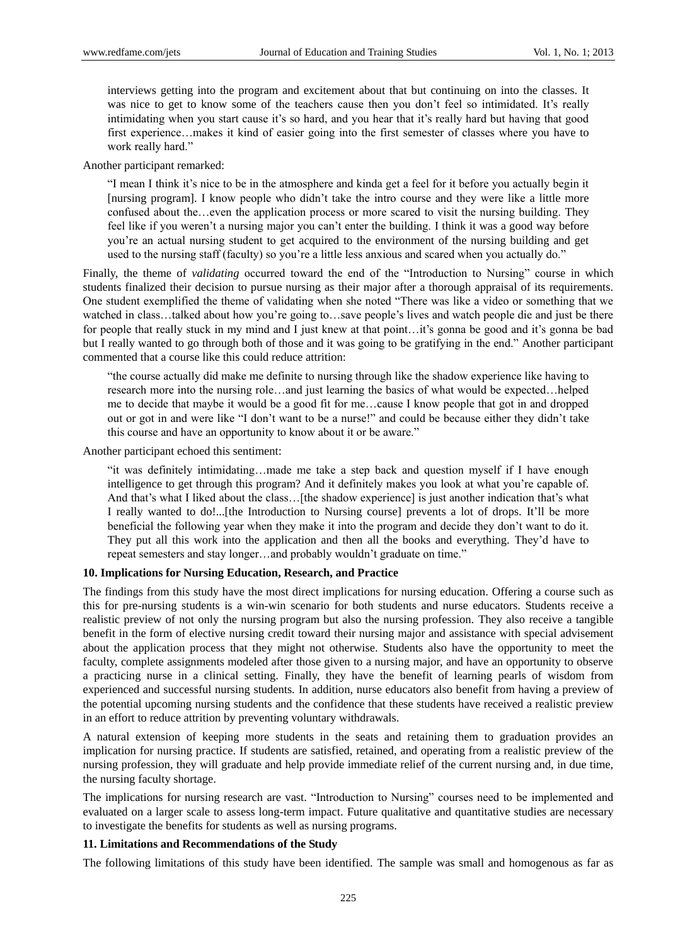interviews getting into the program and excitement about that but continuing on into the classes. It was nice to get to know some of the teachers cause then you don't feel so intimidated. It's really intimidating when you start cause it's so hard, and you hear that it's really hard but having that good first experience…makes it kind of easier going into the first semester of classes where you have to work really hard."

Another participant remarked:

"I mean I think it's nice to be in the atmosphere and kinda get a feel for it before you actually begin it [nursing program]. I know people who didn't take the intro course and they were like a little more confused about the…even the application process or more scared to visit the nursing building. They feel like if you weren't a nursing major you can't enter the building. I think it was a good way before you're an actual nursing student to get acquired to the environment of the nursing building and get used to the nursing staff (faculty) so you're a little less anxious and scared when you actually do."

Finally, the theme of *validating* occurred toward the end of the "Introduction to Nursing" course in which students finalized their decision to pursue nursing as their major after a thorough appraisal of its requirements. One student exemplified the theme of validating when she noted "There was like a video or something that we watched in class…talked about how you're going to…save people's lives and watch people die and just be there for people that really stuck in my mind and I just knew at that point…it's gonna be good and it's gonna be bad but I really wanted to go through both of those and it was going to be gratifying in the end." Another participant commented that a course like this could reduce attrition:

"the course actually did make me definite to nursing through like the shadow experience like having to research more into the nursing role…and just learning the basics of what would be expected…helped me to decide that maybe it would be a good fit for me…cause I know people that got in and dropped out or got in and were like "I don't want to be a nurse!" and could be because either they didn't take this course and have an opportunity to know about it or be aware."

Another participant echoed this sentiment:

"it was definitely intimidating…made me take a step back and question myself if I have enough intelligence to get through this program? And it definitely makes you look at what you're capable of. And that's what I liked about the class... [the shadow experience] is just another indication that's what I really wanted to do!...[the Introduction to Nursing course] prevents a lot of drops. It'll be more beneficial the following year when they make it into the program and decide they don't want to do it. They put all this work into the application and then all the books and everything. They'd have to repeat semesters and stay longer…and probably wouldn't graduate on time."

#### **10. Implications for Nursing Education, Research, and Practice**

The findings from this study have the most direct implications for nursing education. Offering a course such as this for pre-nursing students is a win-win scenario for both students and nurse educators. Students receive a realistic preview of not only the nursing program but also the nursing profession. They also receive a tangible benefit in the form of elective nursing credit toward their nursing major and assistance with special advisement about the application process that they might not otherwise. Students also have the opportunity to meet the faculty, complete assignments modeled after those given to a nursing major, and have an opportunity to observe a practicing nurse in a clinical setting. Finally, they have the benefit of learning pearls of wisdom from experienced and successful nursing students. In addition, nurse educators also benefit from having a preview of the potential upcoming nursing students and the confidence that these students have received a realistic preview in an effort to reduce attrition by preventing voluntary withdrawals.

A natural extension of keeping more students in the seats and retaining them to graduation provides an implication for nursing practice. If students are satisfied, retained, and operating from a realistic preview of the nursing profession, they will graduate and help provide immediate relief of the current nursing and, in due time, the nursing faculty shortage.

The implications for nursing research are vast. "Introduction to Nursing" courses need to be implemented and evaluated on a larger scale to assess long-term impact. Future qualitative and quantitative studies are necessary to investigate the benefits for students as well as nursing programs.

## **11. Limitations and Recommendations of the Study**

The following limitations of this study have been identified. The sample was small and homogenous as far as